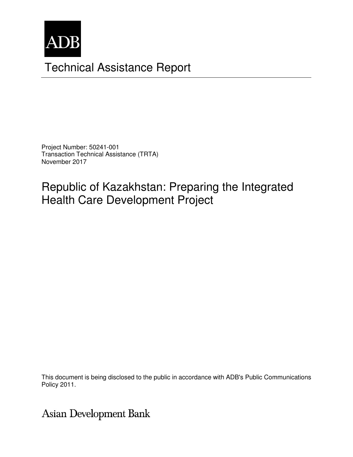

# Technical Assistance Report

Project Number: 50241-001 Transaction Technical Assistance (TRTA) November 2017

Republic of Kazakhstan: Preparing the Integrated Health Care Development Project

The views expressed herein are those of the consultant and do not necessarily represent those of ADB's  $\sim$  100  $\mu$  and do not necessarily represent those of ADB's  $\mu$  and  $\mu$  and  $\mu$  and  $\mu$  and  $\mu$  and  $\mu$  and  $\mu$ members, Board of Directors, Management, or staff, and may be preliminary in nature. This document is being disclosed to the public in accordance with ADB's Public Communications

**Asian Development Bank**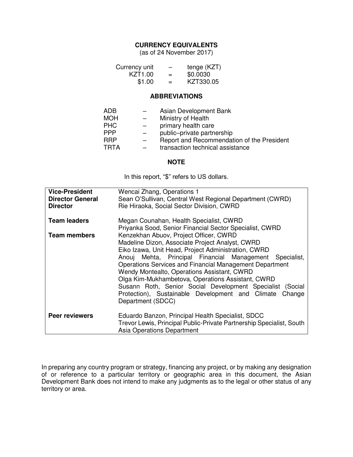## **CURRENCY EQUIVALENTS**

(as of 24 November 2017)

| Currency unit       | -   | tenge (KZT) |
|---------------------|-----|-------------|
| KZT <sub>1.00</sub> | $=$ | \$0.0030    |
| \$1.00              | $=$ | KZT330.05   |

#### **ABBREVIATIONS**

| ADB        |                          | Asian Development Bank                     |
|------------|--------------------------|--------------------------------------------|
| <b>MOH</b> |                          | Ministry of Health                         |
| <b>PHC</b> | $\qquad \qquad -$        | primary health care                        |
| PPP        | $\overline{\phantom{0}}$ | public-private partnership                 |
| RRP        |                          | Report and Recommendation of the President |
| TRTA       |                          | transaction technical assistance           |
|            |                          |                                            |

#### **NOTE**

In this report, "\$" refers to US dollars.

| <b>Vice-President</b><br><b>Director General</b><br><b>Director</b> | Wencai Zhang, Operations 1<br>Sean O'Sullivan, Central West Regional Department (CWRD)<br>Rie Hiraoka, Social Sector Division, CWRD                                                                                                                                                                                                                                                                                                                                                                                        |  |  |
|---------------------------------------------------------------------|----------------------------------------------------------------------------------------------------------------------------------------------------------------------------------------------------------------------------------------------------------------------------------------------------------------------------------------------------------------------------------------------------------------------------------------------------------------------------------------------------------------------------|--|--|
| <b>Team leaders</b>                                                 | Megan Counahan, Health Specialist, CWRD<br>Priyanka Sood, Senior Financial Sector Specialist, CWRD                                                                                                                                                                                                                                                                                                                                                                                                                         |  |  |
| <b>Team members</b>                                                 | Kenzekhan Abuov, Project Officer, CWRD<br>Madeline Dizon, Associate Project Analyst, CWRD<br>Eiko Izawa, Unit Head, Project Administration, CWRD<br>Anouj Mehta, Principal Financial Management Specialist,<br>Operations Services and Financial Management Department<br>Wendy Montealto, Operations Assistant, CWRD<br>Olga Kim-Mukhambetova, Operations Assistant, CWRD<br>Susann Roth, Senior Social Development Specialist (Social<br>Protection), Sustainable Development and Climate<br>Change<br>Department (SDCC) |  |  |
| <b>Peer reviewers</b>                                               | Eduardo Banzon, Principal Health Specialist, SDCC<br>Trevor Lewis, Principal Public-Private Partnership Specialist, South<br><b>Asia Operations Department</b>                                                                                                                                                                                                                                                                                                                                                             |  |  |

In preparing any country program or strategy, financing any project, or by making any designation of or reference to a particular territory or geographic area in this document, the Asian Development Bank does not intend to make any judgments as to the legal or other status of any territory or area.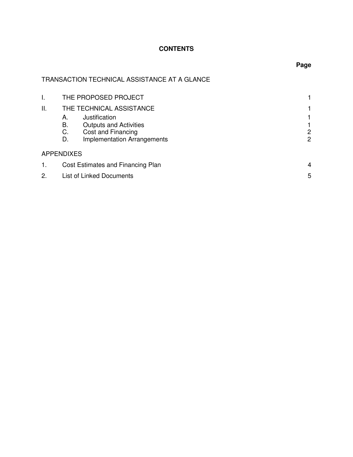# **CONTENTS**

# TRANSACTION TECHNICAL ASSISTANCE AT A GLANCE

| I. | THE PROPOSED PROJECT                                                                                                               |        |
|----|------------------------------------------------------------------------------------------------------------------------------------|--------|
| Н. | THE TECHNICAL ASSISTANCE                                                                                                           |        |
|    | Justification<br>А.<br>В.<br><b>Outputs and Activities</b><br>Cost and Financing<br>C.<br><b>Implementation Arrangements</b><br>D. | 2<br>2 |
|    | <b>APPENDIXES</b>                                                                                                                  |        |
| 1. | Cost Estimates and Financing Plan                                                                                                  |        |
| 2. | List of Linked Documents                                                                                                           | 5      |

# **Page**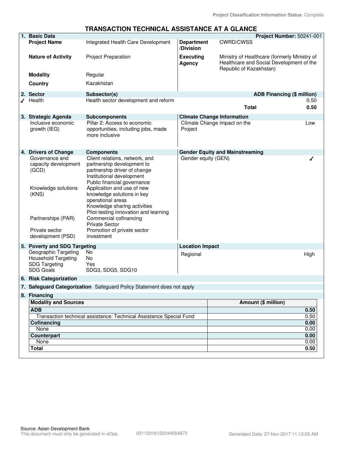#### **TRANSACTION TECHNICAL ASSISTANCE AT A GLANCE**

| 1. Basic Data                                                                                  |                                                                                                                                                                                        |                                | Project Number: 50241-001                                                                                           |              |
|------------------------------------------------------------------------------------------------|----------------------------------------------------------------------------------------------------------------------------------------------------------------------------------------|--------------------------------|---------------------------------------------------------------------------------------------------------------------|--------------|
| <b>Project Name</b>                                                                            | Integrated Health Care Development                                                                                                                                                     | <b>Department</b><br>/Division | <b>CWRD/CWSS</b>                                                                                                    |              |
| <b>Nature of Activity</b>                                                                      | <b>Project Preparation</b>                                                                                                                                                             | <b>Executing</b><br>Agency     | Ministry of Healthcare (formerly Ministry of<br>Healthcare and Social Development of the<br>Republic of Kazakhstan) |              |
| <b>Modality</b>                                                                                | Regular                                                                                                                                                                                |                                |                                                                                                                     |              |
| Country                                                                                        | Kazakhstan                                                                                                                                                                             |                                |                                                                                                                     |              |
| 2. Sector                                                                                      | Subsector(s)                                                                                                                                                                           |                                | <b>ADB Financing (\$ million)</b>                                                                                   |              |
| $\sqrt{\phantom{a}}$ Health                                                                    | Health sector development and reform                                                                                                                                                   |                                | <b>Total</b>                                                                                                        | 0.50<br>0.50 |
| 3. Strategic Agenda<br>Inclusive economic<br>growth (IEG)                                      | <b>Subcomponents</b><br>Pillar 2: Access to economic<br>opportunities, including jobs, made<br>more inclusive                                                                          | Project                        | <b>Climate Change Information</b><br>Climate Change impact on the                                                   | Low          |
| 4. Drivers of Change                                                                           | <b>Components</b>                                                                                                                                                                      |                                | <b>Gender Equity and Mainstreaming</b>                                                                              |              |
| Governance and<br>capacity development<br>(GCD)<br>Knowledge solutions                         | Client relations, network, and<br>partnership development to<br>partnership driver of change<br>Institutional development<br>Public financial governance<br>Application and use of new | Gender equity (GEN)            |                                                                                                                     |              |
| (KNS)<br>Partnerships (PAR)                                                                    | knowledge solutions in key<br>operational areas<br>Knowledge sharing activities<br>Pilot-testing innovation and learning<br>Commercial cofinancing<br><b>Private Sector</b>            |                                |                                                                                                                     |              |
| Private sector<br>development (PSD)                                                            | Promotion of private sector<br>investment                                                                                                                                              |                                |                                                                                                                     |              |
| 5. Poverty and SDG Targeting                                                                   |                                                                                                                                                                                        | <b>Location Impact</b>         |                                                                                                                     |              |
| Geographic Targeting<br><b>Household Targeting</b><br><b>SDG Targeting</b><br><b>SDG Goals</b> | No<br>No<br>Yes<br>SDG3, SDG5, SDG10                                                                                                                                                   | Regional                       |                                                                                                                     | High         |
| 6. Risk Categorization                                                                         |                                                                                                                                                                                        |                                |                                                                                                                     |              |
|                                                                                                | 7. Safeguard Categorization Safeguard Policy Statement does not apply                                                                                                                  |                                |                                                                                                                     |              |
| 8. Financing                                                                                   |                                                                                                                                                                                        |                                |                                                                                                                     |              |
| <b>Modality and Sources</b>                                                                    |                                                                                                                                                                                        |                                | Amount (\$ million)                                                                                                 |              |
| <b>ADB</b>                                                                                     |                                                                                                                                                                                        |                                |                                                                                                                     | 0.50         |
|                                                                                                | Transaction technical assistance: Technical Assistance Special Fund                                                                                                                    |                                |                                                                                                                     | 0.50         |
| Cofinancing<br>None                                                                            |                                                                                                                                                                                        |                                |                                                                                                                     | 0.00<br>0.00 |
| <b>Counterpart</b>                                                                             |                                                                                                                                                                                        |                                |                                                                                                                     | 0.00         |
| None                                                                                           |                                                                                                                                                                                        |                                |                                                                                                                     | 0.00         |
| <b>Total</b>                                                                                   |                                                                                                                                                                                        |                                |                                                                                                                     | 0.50         |
|                                                                                                |                                                                                                                                                                                        |                                |                                                                                                                     |              |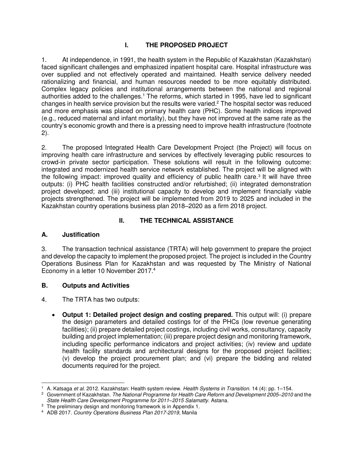# **I. THE PROPOSED PROJECT**

1. At independence, in 1991, the health system in the Republic of Kazakhstan (Kazakhstan) faced significant challenges and emphasized inpatient hospital care. Hospital infrastructure was over supplied and not effectively operated and maintained. Health service delivery needed rationalizing and financial, and human resources needed to be more equitably distributed. Complex legacy policies and institutional arrangements between the national and regional authorities added to the challenges.<sup>1</sup> The reforms, which started in 1995, have led to significant changes in health service provision but the results were varied.<sup>2</sup> The hospital sector was reduced and more emphasis was placed on primary health care (PHC). Some health indices improved (e.g., reduced maternal and infant mortality), but they have not improved at the same rate as the country's economic growth and there is a pressing need to improve health infrastructure (footnote 2).

2. The proposed Integrated Health Care Development Project (the Project) will focus on improving health care infrastructure and services by effectively leveraging public resources to crowd-in private sector participation. These solutions will result in the following outcome: integrated and modernized health service network established. The project will be aligned with the following impact: improved quality and efficiency of public health care.<sup>3</sup> It will have three outputs: (i) PHC health facilities constructed and/or refurbished; (ii) integrated demonstration project developed; and (iii) institutional capacity to develop and implement financially viable projects strengthened. The project will be implemented from 2019 to 2025 and included in the Kazakhstan country operations business plan 2018–2020 as a firm 2018 project.

## **II. THE TECHNICAL ASSISTANCE**

## **A. Justification**

3. The transaction technical assistance (TRTA) will help government to prepare the project and develop the capacity to implement the proposed project. The project is included in the Country Operations Business Plan for Kazakhstan and was requested by The Ministry of National Economy in a letter 10 November 2017.<sup>4</sup>

## **B. Outputs and Activities**

4. The TRTA has two outputs:

• **Output 1: Detailed project design and costing prepared.** This output will: (i) prepare the design parameters and detailed costings for of the PHCs (low revenue generating facilities); (ii) prepare detailed project costings, including civil works, consultancy, capacity building and project implementation; (iii) prepare project design and monitoring framework, including specific performance indicators and project activities; (iv) review and update health facility standards and architectural designs for the proposed project facilities; (v) develop the project procurement plan; and (vi) prepare the bidding and related documents required for the project.

 $\overline{a}$ 1 A. Katsaga et al. 2012. Kazakhstan: Health system review. Health Systems in Transition. 14 (4): pp. 1–154.

<sup>2</sup> Government of Kazakhstan. The National Programme for Health Care Reform and Development 2005*–*2010 and the State Health Care Development Programme for 2011*–*2015 Salamatty. Astana.

<sup>&</sup>lt;sup>3</sup> The preliminary design and monitoring framework is in Appendix 1.

<sup>4</sup> ADB 2017. Country Operations Business Plan 2017-2019, Manila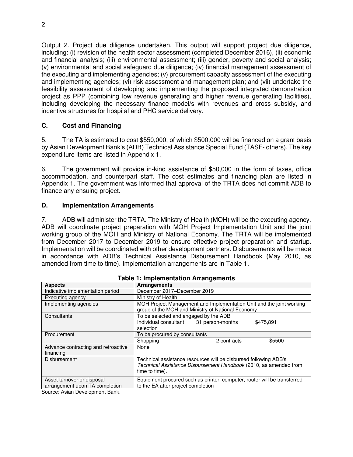Output 2. Project due diligence undertaken. This output will support project due diligence, including: (i) revision of the health sector assessment (completed December 2016), (ii) economic and financial analysis; (iii) environmental assessment; (iii) gender, poverty and social analysis; (v) environmental and social safeguard due diligence; (iv) financial management assessment of the executing and implementing agencies; (v) procurement capacity assessment of the executing and implementing agencies; (vi) risk assessment and management plan; and (vii) undertake the feasibility assessment of developing and implementing the proposed integrated demonstration project as PPP (combining low revenue generating and higher revenue generating facilities), including developing the necessary finance model/s with revenues and cross subsidy, and incentive structures for hospital and PHC service delivery.

## **C. Cost and Financing**

5. The TA is estimated to cost \$550,000, of which \$500,000 will be financed on a grant basis by Asian Development Bank's (ADB) Technical Assistance Special Fund (TASF- others). The key expenditure items are listed in Appendix 1.

6. The government will provide in-kind assistance of \$50,000 in the form of taxes, office accommodation, and counterpart staff. The cost estimates and financing plan are listed in Appendix 1. The government was informed that approval of the TRTA does not commit ADB to finance any ensuing project.

#### **D. Implementation Arrangements**

7. ADB will administer the TRTA. The Ministry of Health (MOH) will be the executing agency. ADB will coordinate project preparation with MOH Project Implementation Unit and the joint working group of the MOH and Ministry of National Economy. The TRTA will be implemented from December 2017 to December 2019 to ensure effective project preparation and startup. Implementation will be coordinated with other development partners. Disbursements will be made in accordance with ADB's Technical Assistance Disbursement Handbook (May 2010, as amended from time to time). Implementation arrangements are in Table 1.

| <b>Aspects</b>                                                                           | <b>Arrangements</b>                                                                                                                                     |                  |  |           |  |
|------------------------------------------------------------------------------------------|---------------------------------------------------------------------------------------------------------------------------------------------------------|------------------|--|-----------|--|
| Indicative implementation period                                                         | December 2017-December 2019                                                                                                                             |                  |  |           |  |
| Executing agency                                                                         | Ministry of Health                                                                                                                                      |                  |  |           |  |
| Implementing agencies                                                                    | MOH Project Management and Implementation Unit and the joint working<br>group of the MOH and Ministry of National Economy                               |                  |  |           |  |
| Consultants                                                                              | To be selected and engaged by the ADB                                                                                                                   |                  |  |           |  |
|                                                                                          | Individual consultant<br>selection                                                                                                                      | 31 person-months |  | \$475,891 |  |
| Procurement                                                                              | To be procured by consultants                                                                                                                           |                  |  |           |  |
|                                                                                          | Shopping<br>2 contracts                                                                                                                                 |                  |  | \$5500    |  |
| Advance contracting and retroactive<br>financing                                         | None                                                                                                                                                    |                  |  |           |  |
| <b>Disbursement</b>                                                                      | Technical assistance resources will be disbursed following ADB's<br>Technical Assistance Disbursement Handbook (2010, as amended from<br>time to time). |                  |  |           |  |
| Asset turnover or disposal<br>arrangement upon TA completion<br>$\blacksquare$<br>$\sim$ | Equipment procured such as printer, computer, router will be transferred<br>to the EA after project completion                                          |                  |  |           |  |

#### **Table 1: Implementation Arrangements**

Source: Asian Development Bank.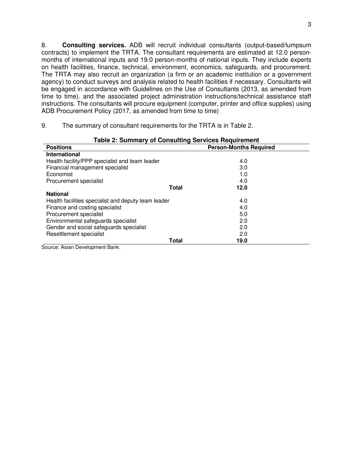8. **Consulting services.** ADB will recruit individual consultants (output-based/lumpsum contracts) to implement the TRTA. The consultant requirements are estimated at 12.0 personmonths of international inputs and 19.0 person-months of national inputs. They include experts on health facilities, finance, technical, environment, economics, safeguards, and procurement. The TRTA may also recruit an organization (a firm or an academic institution or a government agency) to conduct surveys and analysis related to health facilities if necessary. Consultants will be engaged in accordance with Guidelines on the Use of Consultants (2013, as amended from time to time). and the associated project administration instructions/technical assistance staff instructions. The consultants will procure equipment (computer, printer and office supplies) using ADB Procurement Policy (2017, as amended from time to time)

9. The summary of consultant requirements for the TRTA is in Table 2.

| <b>Table 2: Summary of Consulting Services Requirement</b> |                               |      |  |  |
|------------------------------------------------------------|-------------------------------|------|--|--|
| <b>Positions</b>                                           | <b>Person-Months Required</b> |      |  |  |
| International                                              |                               |      |  |  |
| Health facility/PPP specialist and team leader             |                               | 4.0  |  |  |
| Financial management specialist                            |                               | 3.0  |  |  |
| Economist                                                  |                               | 1.0  |  |  |
| Procurement specialist                                     |                               | 4.0  |  |  |
|                                                            | <b>Total</b>                  | 12.0 |  |  |
| <b>National</b>                                            |                               |      |  |  |
| Health facilities specialist and deputy team leader        |                               | 4.0  |  |  |
| Finance and costing specialist                             |                               | 4.0  |  |  |
| Procurement specialist                                     |                               | 5.0  |  |  |
| Environmental safeguards specialist                        |                               | 2.0  |  |  |
| Gender and social safeguards specialist                    |                               | 2.0  |  |  |
| Resettlement specialist                                    |                               | 2.0  |  |  |
|                                                            | <b>Total</b>                  | 19.0 |  |  |

Source: Asian Development Bank.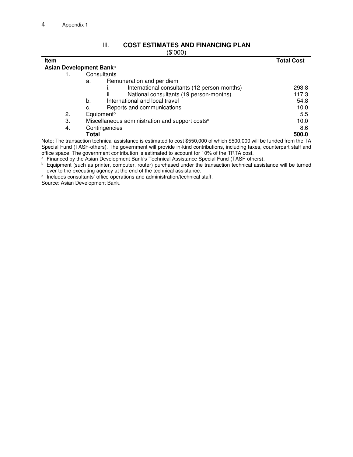## III. **COST ESTIMATES AND FINANCING PLAN**

| Item |                                                                                                                         | <b>Total Cost</b> |
|------|-------------------------------------------------------------------------------------------------------------------------|-------------------|
|      | Asian Development Bank <sup>a</sup>                                                                                     |                   |
|      | Consultants                                                                                                             |                   |
|      | Remuneration and per diem<br>a.                                                                                         |                   |
|      | International consultants (12 person-months)                                                                            | 293.8             |
|      | National consultants (19 person-months)<br>ii.                                                                          | 117.3             |
|      | International and local travel<br>b.                                                                                    | 54.8              |
|      | Reports and communications<br>c.                                                                                        | 10.0              |
| 2.   | Equipment <sup>b</sup>                                                                                                  | 5.5               |
| 3.   | Miscellaneous administration and support costs <sup>c</sup>                                                             | 10.0              |
| 4.   | Contingencies                                                                                                           | 8.6               |
|      | Total                                                                                                                   | 500.0             |
|      | Note: The transpotion technical assistance is estimated to sect \$550,000 of which \$500,000 will be funded from the TA |                   |

Note: The transaction technical assistance is estimated to cost \$550,000 of which \$500,000 will be funded from the TA Special Fund (TASF-others). The government will provide in-kind contributions, including taxes, counterpart staff and office space. The government contribution is estimated to account for 10% of the TRTA cost.

<sup>a</sup> Financed by the Asian Development Bank's Technical Assistance Special Fund (TASF-others).

<sup>b</sup> Equipment (such as printer, computer, router) purchased under the transaction technical assistance will be turned over to the executing agency at the end of the technical assistance.

c Includes consultants' office operations and administration/technical staff.

Source: Asian Development Bank.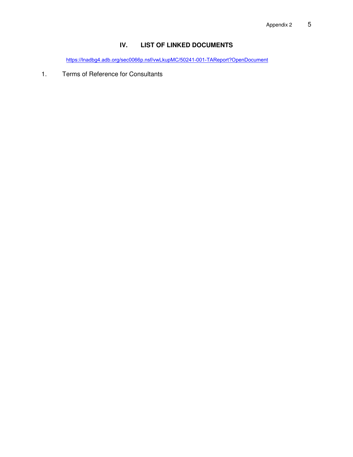# **IV. LIST OF LINKED DOCUMENTS**

[https://lnadbg4.adb.org/sec0066p.nsf/vwLkupMC/50241-001-TAReport?OpenDocument](http://www.adb.org/Documents/LinkedDocs/?id=50241-001-TAReport)

1. Terms of Reference for Consultants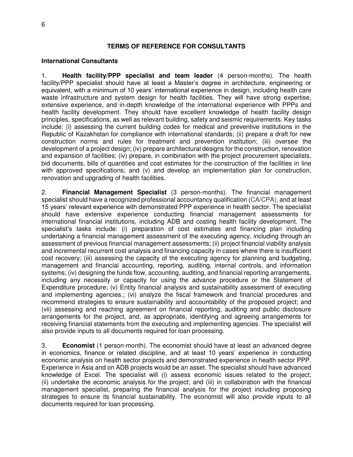#### **TERMS OF REFERENCE FOR CONSULTANTS**

#### **International Consultants**

1. **Health facility/PPP specialist and team leader** (4 person-months). The health facility/PPP specialist should have at least a Master's degree in architecture, engineering or equivalent, with a minimum of 10 years' international experience in design, including health care waste infrastructure and system design for health facilities. They will have strong expertise, extensive experience, and in-depth knowledge of the international experience with PPPs and health facility development. They should have excellent knowledge of health facility design principles, specifications, as well as relevant building, safety and seismic requirements. Key tasks include: (i) assessing the current building codes for medical and preventive institutions in the Republic of Kazakhstan for compliance with international standards; (ii) prepare a draft for new construction norms and rules for treatment and prevention institution; (iii) oversee the development of a project design; (iv) prepare architectural designs for the construction, renovation and expansion of facilities; (iv) prepare, in combination with the project procurement specialists, bid documents, bills of quantities and cost estimates for the construction of the facilities in line with approved specifications; and (v) and develop an implementation plan for construction, renovation and upgrading of health facilities.

2. **Financial Management Specialist** (3 person-months). The financial management specialist should have a recognized professional accountancy qualification (CA/CPA), and at least 15 years' relevant experience with demonstrated PPP experience in health sector. The specialist should have extensive experience conducting financial management assessments for international financial institutions, including ADB and costing health facility development. The specialist's tasks include: (i) preparation of cost estimates and financing plan including undertaking a financial management assessment of the executing agency, including through an assessment of previous financial management assessments; (ii) project financial viability analysis and incremental recurrent cost analysis and financing capacity in cases where there is insufficient cost recovery; (iii) assessing the capacity of the executing agency for planning and budgeting, management and financial accounting, reporting, auditing, internal controls, and information systems; (iv) designing the funds flow, accounting, auditing, and financial reporting arrangements, including any necessity or capacity for using the advance procedure or the Statement of Expenditure procedure; (v) Entity financial analysis and sustainability assessment of executing and implementing agencies.; (vi) analyze the fiscal framework and financial procedures and recommend strategies to ensure sustainability and accountability of the proposed project; and (vii) assessing and reaching agreement on financial reporting, auditing and public disclosure arrangements for the project, and, as appropriate, identifying and agreeing arrangements for receiving financial statements from the executing and implementing agencies. The specialist will also provide inputs to all documents required for loan processing.

3. **Economist** (1 person-month). The economist should have at least an advanced degree in economics, finance or related discipline, and at least 10 years' experience in conducting economic analysis on health sector projects and demonstrated experience in health sector PPP. Experience in Asia and on ADB projects would be an asset. The specialist should have advanced knowledge of Excel. The specialist will (i) assess economic issues related to the project; (ii) undertake the economic analysis for the project; and (iii) in collaboration with the financial management specialist, preparing the financial analysis for the project including proposing strategies to ensure its financial sustainability. The economist will also provide inputs to all documents required for loan processing.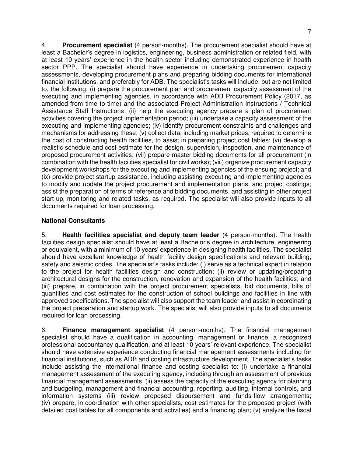4. **Procurement specialist** (4 person-months). The procurement specialist should have at least a Bachelor's degree in logistics, engineering, business administration or related field, with at least 10 years' experience in the health sector including demonstrated experience in health sector PPP. The specialist should have experience in undertaking procurement capacity assessments, developing procurement plans and preparing bidding documents for international financial institutions, and preferably for ADB. The specialist's tasks will include, but are not limited to, the following: (i) prepare the procurement plan and procurement capacity assessment of the executing and implementing agencies, in accordance with ADB Procurement Policy (2017, as amended from time to time) and the associated Project Administration Instructions / Technical Assistance Staff Instructions; (ii) help the executing agency prepare a plan of procurement activities covering the project implementation period; (iii) undertake a capacity assessment of the executing and implementing agencies; (iv) identify procurement constraints and challenges and mechanisms for addressing these; (v) collect data, including market prices, required to determine the cost of constructing health facilities, to assist in preparing project cost tables; (vi) develop a realistic schedule and cost estimate for the design, supervision, inspection, and maintenance of proposed procurement activities; (vii) prepare master bidding documents for all procurement (in combination with the health facilities specialist for civil works); (viii) organize procurement capacity development workshops for the executing and implementing agencies of the ensuing project; and (ix) provide project startup assistance, including assisting executing and implementing agencies to modify and update the project procurement and implementation plans, and project costings; assist the preparation of terms of reference and bidding documents, and assisting in other project start-up, monitoring and related tasks, as required. The specialist will also provide inputs to all documents required for loan processing.

## **National Consultants**

5. **Health facilities specialist and deputy team leader** (4 person-months). The health facilities design specialist should have at least a Bachelor's degree in architecture, engineering or equivalent, with a minimum of 10 years' experience in designing health facilities. The specialist should have excellent knowledge of health facility design specifications and relevant building, safety and seismic codes. The specialist's tasks include: (i) serve as a technical expert in relation to the project for health facilities design and construction; (ii) review or updating/preparing architectural designs for the construction, renovation and expansion of the health facilities; and (iii) prepare, in combination with the project procurement specialists, bid documents, bills of quantities and cost estimates for the construction of school buildings and facilities in line with approved specifications. The specialist will also support the team leader and assist in coordinating the project preparation and startup work. The specialist will also provide inputs to all documents required for loan processing.

6. **Finance management specialist** (4 person-months). The financial management specialist should have a qualification in accounting, management or finance, a recognized professional accountancy qualification, and at least 10 years' relevant experience. The specialist should have extensive experience conducting financial management assessments including for financial institutions, such as ADB and costing infrastructure development. The specialist's tasks include assisting the international finance and costing specialist to: (i) undertake a financial management assessment of the executing agency, including through an assessment of previous financial management assessments; (ii) assess the capacity of the executing agency for planning and budgeting, management and financial accounting, reporting, auditing, internal controls, and information systems (iii) review proposed disbursement and funds-flow arrangements; (iv) prepare, in coordination with other specialists, cost estimates for the proposed project (with detailed cost tables for all components and activities) and a financing plan; (v) analyze the fiscal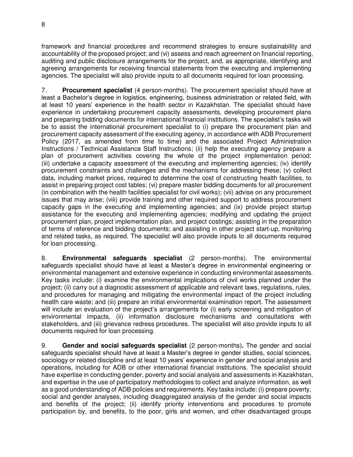framework and financial procedures and recommend strategies to ensure sustainability and accountability of the proposed project; and (vi) assess and reach agreement on financial reporting, auditing and public disclosure arrangements for the project, and, as appropriate, identifying and agreeing arrangements for receiving financial statements from the executing and implementing agencies. The specialist will also provide inputs to all documents required for loan processing.

7. **Procurement specialist** (4 person-months). The procurement specialist should have at least a Bachelor's degree in logistics, engineering, business administration or related field, with at least 10 years' experience in the health sector in Kazakhstan. The specialist should have experience in undertaking procurement capacity assessments, developing procurement plans and preparing bidding documents for international financial institutions. The specialist's tasks will be to assist the international procurement specialist to (i) prepare the procurement plan and procurement capacity assessment of the executing agency, in accordance with ADB Procurement Policy (2017, as amended from time to time) and the associated Project Administration Instructions / Technical Assistance Staff Instructions; (ii) help the executing agency prepare a plan of procurement activities covering the whole of the project implementation period; (iii) undertake a capacity assessment of the executing and implementing agencies; (iv) identify procurement constraints and challenges and the mechanisms for addressing these; (v) collect data, including market prices, required to determine the cost of constructing health facilities, to assist in preparing project cost tables; (vi) prepare master bidding documents for all procurement (in combination with the health facilities specialist for civil works); (vii) advise on any procurement issues that may arise; (viii) provide training and other required support to address procurement capacity gaps in the executing and implementing agencies; and (ix) provide project startup assistance for the executing and implementing agencies; modifying and updating the project procurement plan, project implementation plan, and project costings; assisting in the preparation of terms of reference and bidding documents; and assisting in other project start-up, monitoring and related tasks, as required. The specialist will also provide inputs to all documents required for loan processing.

8. **Environmental safeguards specialist** (2 person-months). The environmental safeguards specialist should have at least a Master's degree in environmental engineering or environmental management and extensive experience in conducting environmental assessments. Key tasks include: (i) examine the environmental implications of civil works planned under the project; (ii) carry out a diagnostic assessment of applicable and relevant laws, regulations, rules, and procedures for managing and mitigating the environmental impact of the project including health care waste; and (iii) prepare an initial environmental examination report. The assessment will include an evaluation of the project's arrangements for (i) early screening and mitigation of environmental impacts, (ii) information disclosure mechanisms and consultations with stakeholders, and (iii) grievance redress procedures. The specialist will also provide inputs to all documents required for loan processing.

9. **Gender and social safeguards specialist** (2 person-months)**.** The gender and social safeguards specialist should have at least a Master's degree in gender studies, social sciences, sociology or related discipline and at least 10 years' experience in gender and social analysis and operations, including for ADB or other international financial institutions. The specialist should have expertise in conducting gender, poverty and social analysis and assessments in Kazakhstan, and expertise in the use of participatory methodologies to collect and analyze information, as well as a good understanding of ADB policies and requirements. Key tasks include: (i) prepare poverty, social and gender analyses, including disaggregated analysis of the gender and social impacts and benefits of the project; (ii) identify priority interventions and procedures to promote participation by, and benefits, to the poor, girls and women, and other disadvantaged groups